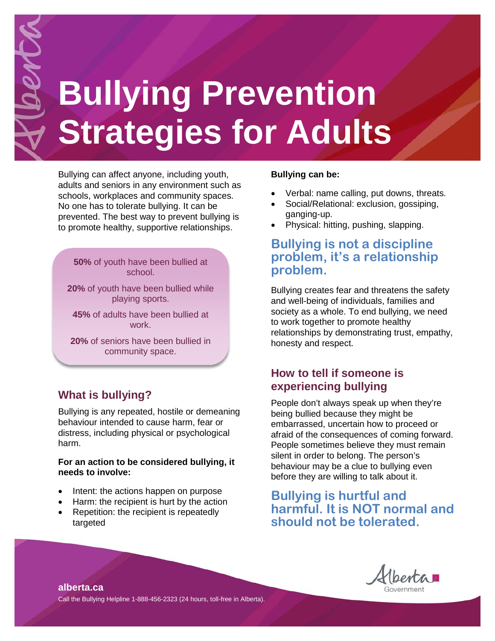# **Bullying Prevention Strategies for Adults**

Bullying can affect anyone, including youth, adults and seniors in any environment such as schools, workplaces and community spaces. No one has to tolerate bullying. It can be prevented. The best way to prevent bullying is to promote healthy, supportive relationships.

**50%** of youth have been bullied at school.

**20%** of youth have been bullied while playing sports.

**45%** of adults have been bullied at work.

**20%** of seniors have been bullied in community space.

# **What is bullying?**

Bullying is any repeated, hostile or demeaning behaviour intended to cause harm, fear or distress, including physical or psychological harm.

#### **For an action to be considered bullying, it needs to involve:**

- Intent: the actions happen on purpose
- Harm: the recipient is hurt by the action
- Repetition: the recipient is repeatedly targeted

#### **Bullying can be:**

- Verbal: name calling, put downs, threats.
- Social/Relational: exclusion, gossiping, ganging-up.
- Physical: hitting, pushing, slapping.

## **Bullying is not a discipline problem, it's a relationship problem.**

Bullying creates fear and threatens the safety and well-being of individuals, families and society as a whole. To end bullying, we need to work together to promote healthy relationships by demonstrating trust, empathy, honesty and respect.

#### **How to tell if someone is experiencing bullying**

People don't always speak up when they're being bullied because they might be embarrassed, uncertain how to proceed or afraid of the consequences of coming forward. People sometimes believe they must remain silent in order to belong. The person's behaviour may be a clue to bullying even before they are willing to talk about it.

## **Bullying is hurtful and harmful. It is NOT normal and should not be tolerated.**



**alberta.ca** Call the Bullying Helpline 1-888-456-2323 (24 hours, toll-free in Alberta).